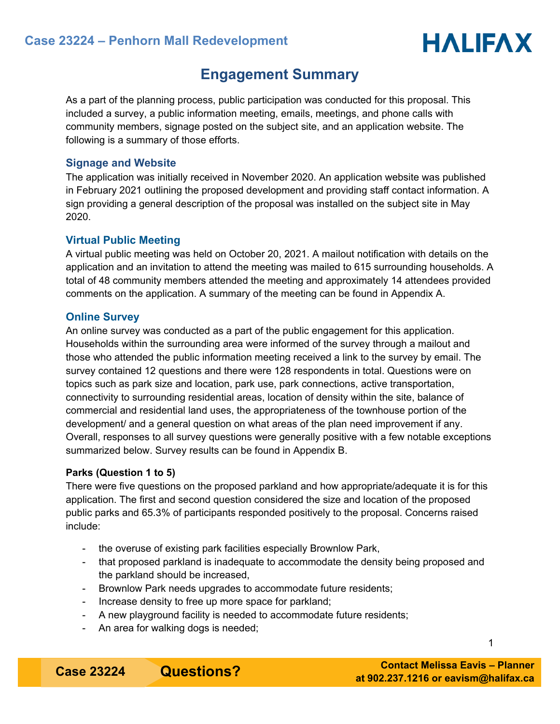# **Engagement Summary**

As a part of the planning process, public participation was conducted for this proposal. This included a survey, a public information meeting, emails, meetings, and phone calls with community members, signage posted on the subject site, and an application website. The following is a summary of those efforts.

# **Signage and Website**

The application was initially received in November 2020. An application website was published in February 2021 outlining the proposed development and providing staff contact information. A sign providing a general description of the proposal was installed on the subject site in May 2020.

# **Virtual Public Meeting**

A virtual public meeting was held on October 20, 2021. A mailout notification with details on the application and an invitation to attend the meeting was mailed to 615 surrounding households. A total of 48 community members attended the meeting and approximately 14 attendees provided comments on the application. A summary of the meeting can be found in Appendix A.

# **Online Survey**

An online survey was conducted as a part of the public engagement for this application. Households within the surrounding area were informed of the survey through a mailout and those who attended the public information meeting received a link to the survey by email. The survey contained 12 questions and there were 128 respondents in total. Questions were on topics such as park size and location, park use, park connections, active transportation, connectivity to surrounding residential areas, location of density within the site, balance of commercial and residential land uses, the appropriateness of the townhouse portion of the development/ and a general question on what areas of the plan need improvement if any. Overall, responses to all survey questions were generally positive with a few notable exceptions summarized below. Survey results can be found in Appendix B.

# **Parks (Question 1 to 5)**

There were five questions on the proposed parkland and how appropriate/adequate it is for this application. The first and second question considered the size and location of the proposed public parks and 65.3% of participants responded positively to the proposal. Concerns raised include:

- the overuse of existing park facilities especially Brownlow Park,
- that proposed parkland is inadequate to accommodate the density being proposed and the parkland should be increased,
- Brownlow Park needs upgrades to accommodate future residents;
- Increase density to free up more space for parkland;
- A new playground facility is needed to accommodate future residents;
- An area for walking dogs is needed;

**Case 23224 •• Questions?** 

1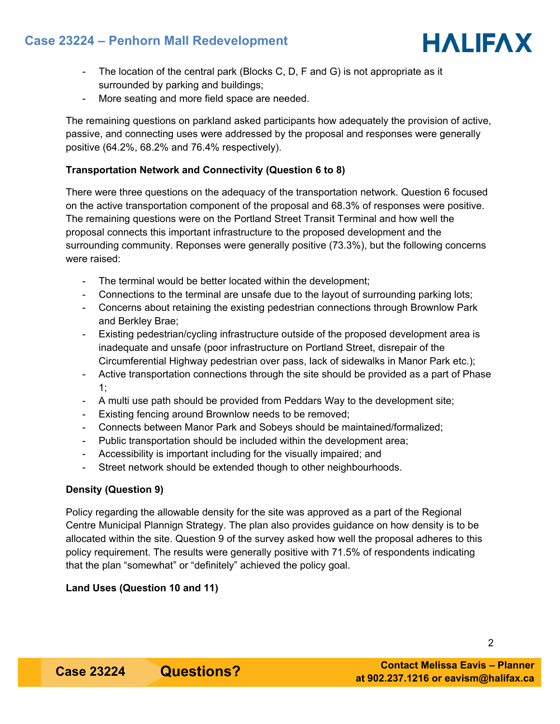# **Case 23224 – Penhorn Mall Redevelopment**



- The location of the central park (Blocks C, D, F and G) is not appropriate as it surrounded by parking and buildings;
- More seating and more field space are needed.

The remaining questions on parkland asked participants how adequately the provision of active, passive, and connecting uses were addressed by the proposal and responses were generally positive (64.2%, 68.2% and 76.4% respectively).

# **Transportation Network and Connectivity (Question 6 to 8)**

There were three questions on the adequacy of the transportation network. Question 6 focused on the active transportation component of the proposal and 68.3% of responses were positive. The remaining questions were on the Portland Street Transit Terminal and how well the proposal connects this important infrastructure to the proposed development and the surrounding community. Reponses were generally positive (73.3%), but the following concerns were raised:

- The terminal would be better located within the development;
- Connections to the terminal are unsafe due to the layout of surrounding parking lots;
- Concerns about retaining the existing pedestrian connections through Brownlow Park and Berkley Brae;
- Existing pedestrian/cycling infrastructure outside of the proposed development area is inadequate and unsafe (poor infrastructure on Portland Street, disrepair of the Circumferential Highway pedestrian over pass, lack of sidewalks in Manor Park etc.);
- Active transportation connections through the site should be provided as a part of Phase 1;
- A multi use path should be provided from Peddars Way to the development site;
- Existing fencing around Brownlow needs to be removed;
- Connects between Manor Park and Sobeys should be maintained/formalized;
- Public transportation should be included within the development area;
- Accessibility is important including for the visually impaired; and
- Street network should be extended though to other neighbourhoods.

# **Density (Question 9)**

Policy regarding the allowable density for the site was approved as a part of the Regional Centre Municipal Plannign Strategy. The plan also provides guidance on how density is to be allocated within the site. Question 9 of the survey asked how well the proposal adheres to this policy requirement. The results were generally positive with 71.5% of respondents indicating that the plan "somewhat" or "definitely" achieved the policy goal.

# **Land Uses (Question 10 and 11)**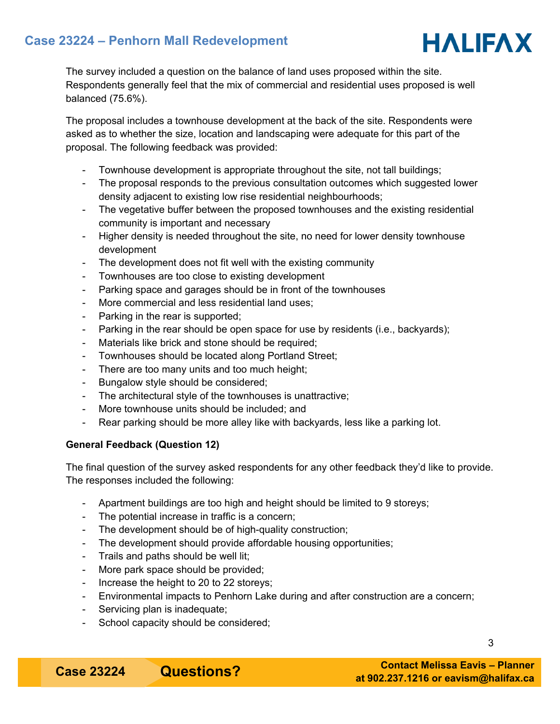# **Case 23224 – Penhorn Mall Redevelopment**



The survey included a question on the balance of land uses proposed within the site. Respondents generally feel that the mix of commercial and residential uses proposed is well balanced (75.6%).

The proposal includes a townhouse development at the back of the site. Respondents were asked as to whether the size, location and landscaping were adequate for this part of the proposal. The following feedback was provided:

- Townhouse development is appropriate throughout the site, not tall buildings;
- The proposal responds to the previous consultation outcomes which suggested lower density adjacent to existing low rise residential neighbourhoods;
- The vegetative buffer between the proposed townhouses and the existing residential community is important and necessary
- Higher density is needed throughout the site, no need for lower density townhouse development
- The development does not fit well with the existing community
- Townhouses are too close to existing development
- Parking space and garages should be in front of the townhouses
- More commercial and less residential land uses;
- Parking in the rear is supported;
- Parking in the rear should be open space for use by residents (i.e., backyards);
- Materials like brick and stone should be required;
- Townhouses should be located along Portland Street;
- There are too many units and too much height;
- Bungalow style should be considered;
- The architectural style of the townhouses is unattractive;
- More townhouse units should be included; and
- Rear parking should be more alley like with backyards, less like a parking lot.

# **General Feedback (Question 12)**

The final question of the survey asked respondents for any other feedback they'd like to provide. The responses included the following:

- Apartment buildings are too high and height should be limited to 9 storeys;
- The potential increase in traffic is a concern;
- The development should be of high-quality construction;
- The development should provide affordable housing opportunities;
- Trails and paths should be well lit;
- More park space should be provided;
- Increase the height to 20 to 22 storeys;
- Environmental impacts to Penhorn Lake during and after construction are a concern;
- Servicing plan is inadequate;
- School capacity should be considered;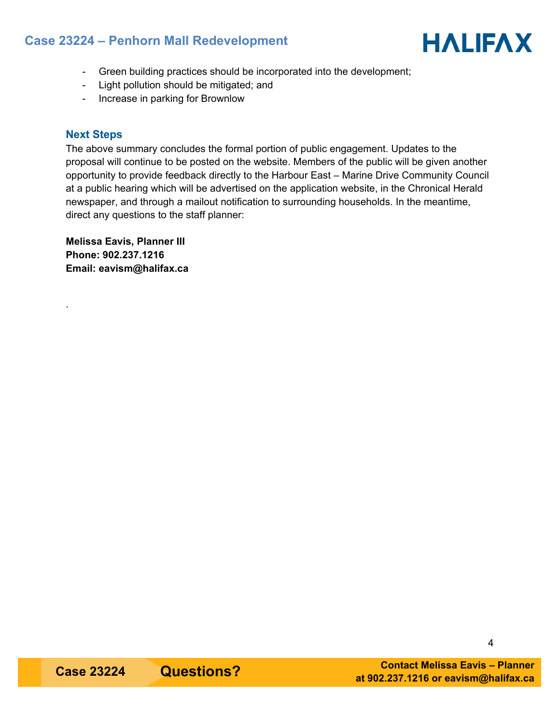# **Case 23224 – Penhorn Mall Redevelopment**



- Green building practices should be incorporated into the development;
- Light pollution should be mitigated; and
- Increase in parking for Brownlow

# **Next Steps**

.

The above summary concludes the formal portion of public engagement. Updates to the proposal will continue to be posted on the website. Members of the public will be given another opportunity to provide feedback directly to the Harbour East – Marine Drive Community Council at a public hearing which will be advertised on the application website, in the Chronical Herald newspaper, and through a mailout notification to surrounding households. In the meantime, direct any questions to the staff planner:

**Melissa Eavis, Planner III Phone: 902.237.1216 Email: eavism@halifax.ca**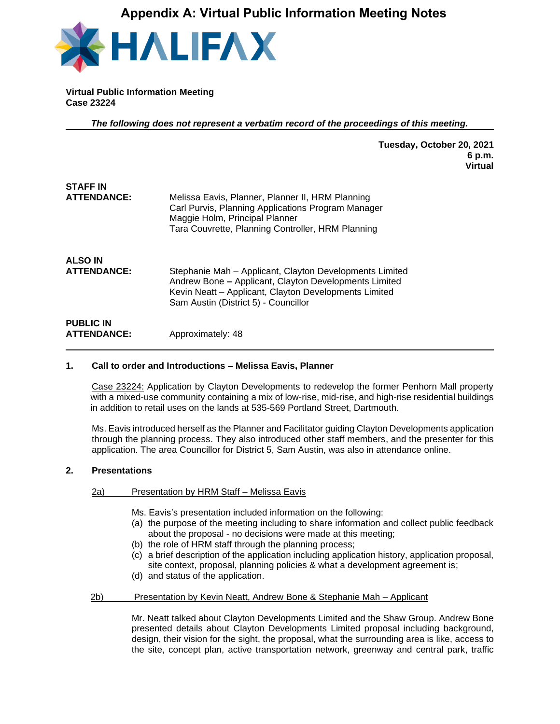# **Appendix A: Virtual Public Information Meeting Notes**



**Virtual Public Information Meeting Case 23224**

*The following does not represent a verbatim record of the proceedings of this meeting.*

**Tuesday, October 20, 2021 6 p.m. Virtual**

| <b>STAFF IN</b>                        |                                                                                                                                                                                                                   |
|----------------------------------------|-------------------------------------------------------------------------------------------------------------------------------------------------------------------------------------------------------------------|
| <b>ATTENDANCE:</b>                     | Melissa Eavis, Planner, Planner II, HRM Planning<br>Carl Purvis, Planning Applications Program Manager<br>Maggie Holm, Principal Planner<br>Tara Couvrette, Planning Controller, HRM Planning                     |
| <b>ALSO IN</b>                         |                                                                                                                                                                                                                   |
| <b>ATTENDANCE:</b>                     | Stephanie Mah - Applicant, Clayton Developments Limited<br>Andrew Bone - Applicant, Clayton Developments Limited<br>Kevin Neatt - Applicant, Clayton Developments Limited<br>Sam Austin (District 5) - Councillor |
| <b>PUBLIC IN</b><br><b>ATTENDANCE:</b> | Approximately: 48                                                                                                                                                                                                 |

## **1. Call to order and Introductions – Melissa Eavis, Planner**

Case 23224: Application by Clayton Developments to redevelop the former Penhorn Mall property with a mixed-use community containing a mix of low-rise, mid-rise, and high-rise residential buildings in addition to retail uses on the lands at 535-569 Portland Street, Dartmouth.

Ms. Eavis introduced herself as the Planner and Facilitator guiding Clayton Developments application through the planning process. They also introduced other staff members, and the presenter for this application. The area Councillor for District 5, Sam Austin, was also in attendance online.

## **2. Presentations**

## 2a) Presentation by HRM Staff – Melissa Eavis

- Ms. Eavis's presentation included information on the following:
- (a) the purpose of the meeting including to share information and collect public feedback about the proposal - no decisions were made at this meeting;
- (b) the role of HRM staff through the planning process;
- (c) a brief description of the application including application history, application proposal, site context, proposal, planning policies & what a development agreement is;
- (d) and status of the application.
- 2b) Presentation by Kevin Neatt, Andrew Bone & Stephanie Mah Applicant

Mr. Neatt talked about Clayton Developments Limited and the Shaw Group. Andrew Bone presented details about Clayton Developments Limited proposal including background, design, their vision for the sight, the proposal, what the surrounding area is like, access to the site, concept plan, active transportation network, greenway and central park, traffic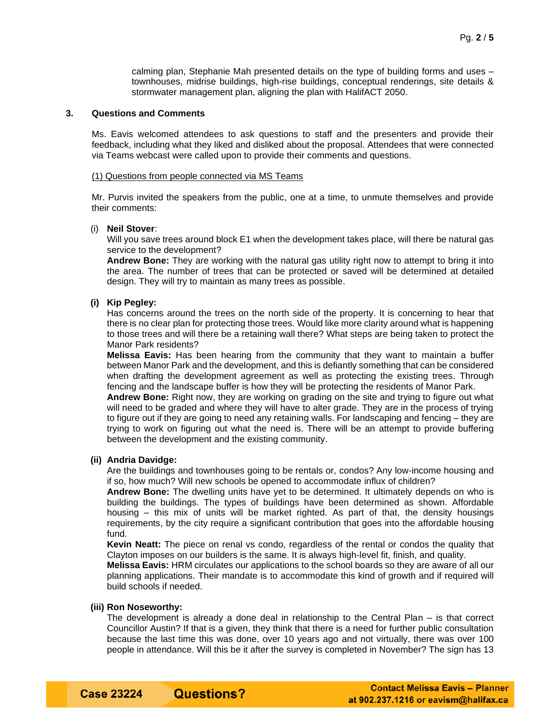calming plan, Stephanie Mah presented details on the type of building forms and uses – townhouses, midrise buildings, high-rise buildings, conceptual renderings, site details & stormwater management plan, aligning the plan with HalifACT 2050.

## **3. Questions and Comments**

Ms. Eavis welcomed attendees to ask questions to staff and the presenters and provide their feedback, including what they liked and disliked about the proposal. Attendees that were connected via Teams webcast were called upon to provide their comments and questions.

#### (1) Questions from people connected via MS Teams

Mr. Purvis invited the speakers from the public, one at a time, to unmute themselves and provide their comments:

#### (i) **Neil Stover**:

Will you save trees around block E1 when the development takes place, will there be natural gas service to the development?

**Andrew Bone:** They are working with the natural gas utility right now to attempt to bring it into the area. The number of trees that can be protected or saved will be determined at detailed design. They will try to maintain as many trees as possible.

### **(i) Kip Pegley:**

Has concerns around the trees on the north side of the property. It is concerning to hear that there is no clear plan for protecting those trees. Would like more clarity around what is happening to those trees and will there be a retaining wall there? What steps are being taken to protect the Manor Park residents?

**Melissa Eavis:** Has been hearing from the community that they want to maintain a buffer between Manor Park and the development, and this is defiantly something that can be considered when drafting the development agreement as well as protecting the existing trees. Through fencing and the landscape buffer is how they will be protecting the residents of Manor Park.

**Andrew Bone:** Right now, they are working on grading on the site and trying to figure out what will need to be graded and where they will have to alter grade. They are in the process of trying to figure out if they are going to need any retaining walls. For landscaping and fencing – they are trying to work on figuring out what the need is. There will be an attempt to provide buffering between the development and the existing community.

## **(ii) Andria Davidge:**

Are the buildings and townhouses going to be rentals or, condos? Any low-income housing and if so, how much? Will new schools be opened to accommodate influx of children?

**Andrew Bone:** The dwelling units have yet to be determined. It ultimately depends on who is building the buildings. The types of buildings have been determined as shown. Affordable housing – this mix of units will be market righted. As part of that, the density housings requirements, by the city require a significant contribution that goes into the affordable housing fund.

**Kevin Neatt:** The piece on renal vs condo, regardless of the rental or condos the quality that Clayton imposes on our builders is the same. It is always high-level fit, finish, and quality.

**Melissa Eavis:** HRM circulates our applications to the school boards so they are aware of all our planning applications. Their mandate is to accommodate this kind of growth and if required will build schools if needed.

#### **(iii) Ron Noseworthy:**

The development is already a done deal in relationship to the Central Plan – is that correct Councillor Austin? If that is a given, they think that there is a need for further public consultation because the last time this was done, over 10 years ago and not virtually, there was over 100 people in attendance. Will this be it after the survey is completed in November? The sign has 13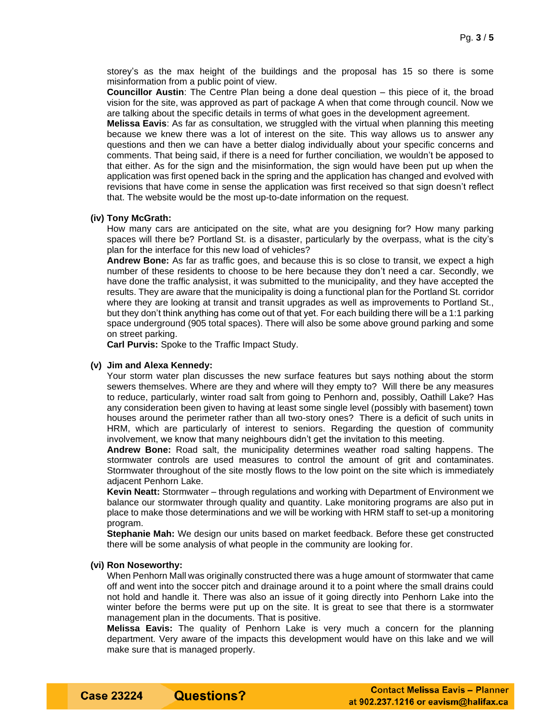storey's as the max height of the buildings and the proposal has 15 so there is some misinformation from a public point of view.

**Councillor Austin**: The Centre Plan being a done deal question – this piece of it, the broad vision for the site, was approved as part of package A when that come through council. Now we are talking about the specific details in terms of what goes in the development agreement.

**Melissa Eavis**: As far as consultation, we struggled with the virtual when planning this meeting because we knew there was a lot of interest on the site. This way allows us to answer any questions and then we can have a better dialog individually about your specific concerns and comments. That being said, if there is a need for further conciliation, we wouldn't be apposed to that either. As for the sign and the misinformation, the sign would have been put up when the application was first opened back in the spring and the application has changed and evolved with revisions that have come in sense the application was first received so that sign doesn't reflect that. The website would be the most up-to-date information on the request.

#### **(iv) Tony McGrath:**

How many cars are anticipated on the site, what are you designing for? How many parking spaces will there be? Portland St. is a disaster, particularly by the overpass, what is the city's plan for the interface for this new load of vehicles?

**Andrew Bone:** As far as traffic goes, and because this is so close to transit, we expect a high number of these residents to choose to be here because they don't need a car. Secondly, we have done the traffic analysist, it was submitted to the municipality, and they have accepted the results. They are aware that the municipality is doing a functional plan for the Portland St. corridor where they are looking at transit and transit upgrades as well as improvements to Portland St., but they don't think anything has come out of that yet. For each building there will be a 1:1 parking space underground (905 total spaces). There will also be some above ground parking and some on street parking.

**Carl Purvis:** Spoke to the Traffic Impact Study.

**Questions?** 

#### **(v) Jim and Alexa Kennedy:**

Your storm water plan discusses the new surface features but says nothing about the storm sewers themselves. Where are they and where will they empty to? Will there be any measures to reduce, particularly, winter road salt from going to Penhorn and, possibly, Oathill Lake? Has any consideration been given to having at least some single level (possibly with basement) town houses around the perimeter rather than all two-story ones? There is a deficit of such units in HRM, which are particularly of interest to seniors. Regarding the question of community involvement, we know that many neighbours didn't get the invitation to this meeting.

**Andrew Bone:** Road salt, the municipality determines weather road salting happens. The stormwater controls are used measures to control the amount of grit and contaminates. Stormwater throughout of the site mostly flows to the low point on the site which is immediately adjacent Penhorn Lake.

**Kevin Neatt:** Stormwater – through regulations and working with Department of Environment we balance our stormwater through quality and quantity. Lake monitoring programs are also put in place to make those determinations and we will be working with HRM staff to set-up a monitoring program.

**Stephanie Mah:** We design our units based on market feedback. Before these get constructed there will be some analysis of what people in the community are looking for.

### **(vi) Ron Noseworthy:**

When Penhorn Mall was originally constructed there was a huge amount of stormwater that came off and went into the soccer pitch and drainage around it to a point where the small drains could not hold and handle it. There was also an issue of it going directly into Penhorn Lake into the winter before the berms were put up on the site. It is great to see that there is a stormwater management plan in the documents. That is positive.

**Melissa Eavis:** The quality of Penhorn Lake is very much a concern for the planning department. Very aware of the impacts this development would have on this lake and we will make sure that is managed properly.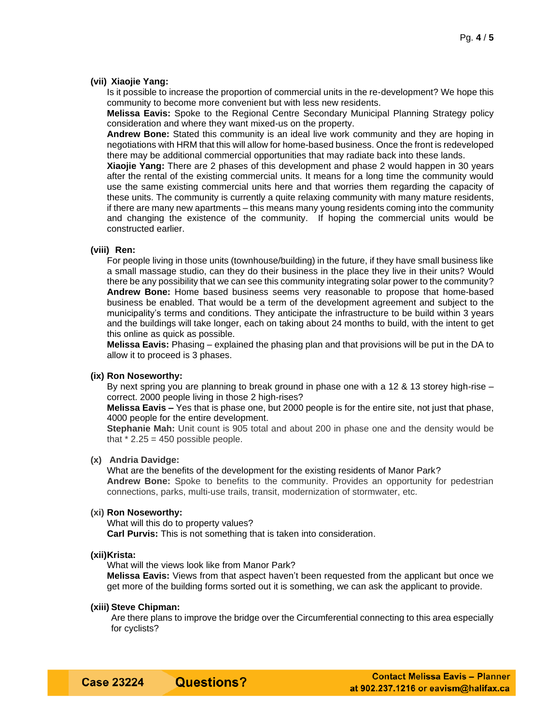#### **(vii) Xiaojie Yang:**

Is it possible to increase the proportion of commercial units in the re-development? We hope this community to become more convenient but with less new residents.

**Melissa Eavis:** Spoke to the Regional Centre Secondary Municipal Planning Strategy policy consideration and where they want mixed-us on the property.

**Andrew Bone:** Stated this community is an ideal live work community and they are hoping in negotiations with HRM that this will allow for home-based business. Once the front is redeveloped there may be additional commercial opportunities that may radiate back into these lands.

**Xiaojie Yang:** There are 2 phases of this development and phase 2 would happen in 30 years after the rental of the existing commercial units. It means for a long time the community would use the same existing commercial units here and that worries them regarding the capacity of these units. The community is currently a quite relaxing community with many mature residents, if there are many new apartments – this means many young residents coming into the community and changing the existence of the community. If hoping the commercial units would be constructed earlier.

### **(viii) Ren:**

For people living in those units (townhouse/building) in the future, if they have small business like a small massage studio, can they do their business in the place they live in their units? Would there be any possibility that we can see this community integrating solar power to the community? **Andrew Bone:** Home based business seems very reasonable to propose that home-based business be enabled. That would be a term of the development agreement and subject to the municipality's terms and conditions. They anticipate the infrastructure to be build within 3 years and the buildings will take longer, each on taking about 24 months to build, with the intent to get this online as quick as possible.

**Melissa Eavis:** Phasing – explained the phasing plan and that provisions will be put in the DA to allow it to proceed is 3 phases.

#### **(ix) Ron Noseworthy:**

By next spring you are planning to break ground in phase one with a 12 & 13 storey high-rise – correct. 2000 people living in those 2 high-rises?

**Melissa Eavis –** Yes that is phase one, but 2000 people is for the entire site, not just that phase, 4000 people for the entire development.

**Stephanie Mah:** Unit count is 905 total and about 200 in phase one and the density would be that  $*$  2.25 = 450 possible people.

#### **(x) Andria Davidge:**

What are the benefits of the development for the existing residents of Manor Park? **Andrew Bone:** Spoke to benefits to the community. Provides an opportunity for pedestrian connections, parks, multi-use trails, transit, modernization of stormwater, etc.

### **(xi) Ron Noseworthy:**

What will this do to property values?

**Carl Purvis:** This is not something that is taken into consideration.

#### **(xii)Krista:**

What will the views look like from Manor Park?

**Melissa Eavis:** Views from that aspect haven't been requested from the applicant but once we get more of the building forms sorted out it is something, we can ask the applicant to provide.

## **(xiii) Steve Chipman:**

Are there plans to improve the bridge over the Circumferential connecting to this area especially for cyclists?